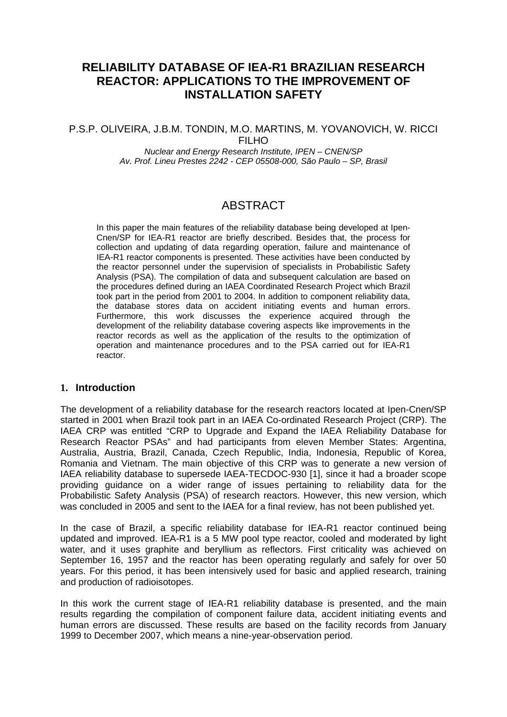## **RELIABILITY DATABASE OF IEA-R1 BRAZILIAN RESEARCH REACTOR: APPLICATIONS TO THE IMPROVEMENT OF INSTALLATION SAFETY**

#### P.S.P. OLIVEIRA, J.B.M. TONDIN, M.O. MARTINS, M. YOVANOVICH, W. RICCI FILHO

*Nuclear and Energy Research Institute, IPEN – CNEN/SP Av. Prof. Lineu Prestes 2242 - CEP 05508-000, São Paulo – SP, Brasil* 

# **ABSTRACT**

In this paper the main features of the reliability database being developed at Ipen-Cnen/SP for IEA-R1 reactor are briefly described. Besides that, the process for collection and updating of data regarding operation, failure and maintenance of IEA-R1 reactor components is presented. These activities have been conducted by the reactor personnel under the supervision of specialists in Probabilistic Safety Analysis (PSA). The compilation of data and subsequent calculation are based on the procedures defined during an IAEA Coordinated Research Project which Brazil took part in the period from 2001 to 2004. In addition to component reliability data, the database stores data on accident initiating events and human errors. Furthermore, this work discusses the experience acquired through the development of the reliability database covering aspects like improvements in the reactor records as well as the application of the results to the optimization of operation and maintenance procedures and to the PSA carried out for IEA-R1 reactor.

#### **1. Introduction**

The development of a reliability database for the research reactors located at Ipen-Cnen/SP started in 2001 when Brazil took part in an IAEA Co-ordinated Research Project (CRP). The IAEA CRP was entitled "CRP to Upgrade and Expand the IAEA Reliability Database for Research Reactor PSAs" and had participants from eleven Member States: Argentina, Australia, Austria, Brazil, Canada, Czech Republic, India, Indonesia, Republic of Korea, Romania and Vietnam. The main objective of this CRP was to generate a new version of IAEA reliability database to supersede IAEA-TECDOC-930 [1], since it had a broader scope providing guidance on a wider range of issues pertaining to reliability data for the Probabilistic Safety Analysis (PSA) of research reactors. However, this new version, which was concluded in 2005 and sent to the IAEA for a final review, has not been published yet.

In the case of Brazil, a specific reliability database for IEA-R1 reactor continued being updated and improved. IEA-R1 is a 5 MW pool type reactor, cooled and moderated by light water, and it uses graphite and beryllium as reflectors. First criticality was achieved on September 16, 1957 and the reactor has been operating regularly and safely for over 50 years. For this period, it has been intensively used for basic and applied research, training and production of radioisotopes.

In this work the current stage of IEA-R1 reliability database is presented, and the main results regarding the compilation of component failure data, accident initiating events and human errors are discussed. These results are based on the facility records from January 1999 to December 2007, which means a nine-year-observation period.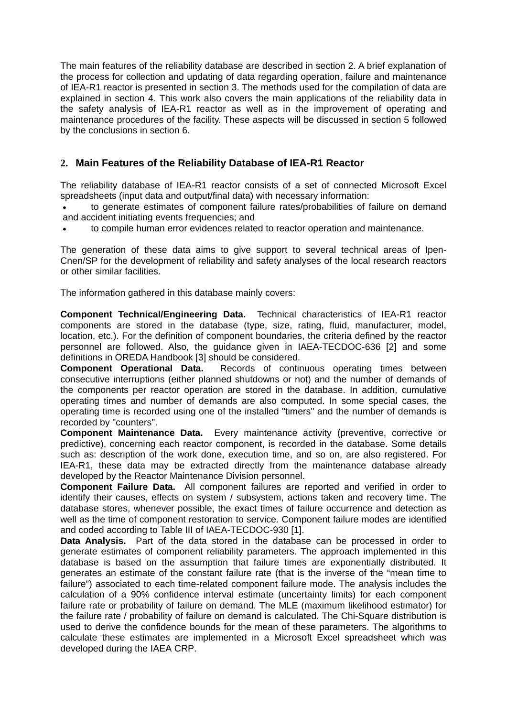The main features of the reliability database are described in section 2. A brief explanation of the process for collection and updating of data regarding operation, failure and maintenance of IEA-R1 reactor is presented in section 3. The methods used for the compilation of data are explained in section 4. This work also covers the main applications of the reliability data in the safety analysis of IEA-R1 reactor as well as in the improvement of operating and maintenance procedures of the facility. These aspects will be discussed in section 5 followed by the conclusions in section 6.

## **2. Main Features of the Reliability Database of IEA-R1 Reactor**

The reliability database of IEA-R1 reactor consists of a set of connected Microsoft Excel spreadsheets (input data and output/final data) with necessary information:

- to generate estimates of component failure rates/probabilities of failure on demand and accident initiating events frequencies; and
- to compile human error evidences related to reactor operation and maintenance.

The generation of these data aims to give support to several technical areas of Ipen-Cnen/SP for the development of reliability and safety analyses of the local research reactors or other similar facilities.

The information gathered in this database mainly covers:

**Component Technical/Engineering Data.** Technical characteristics of IEA-R1 reactor components are stored in the database (type, size, rating, fluid, manufacturer, model, location, etc.). For the definition of component boundaries, the criteria defined by the reactor personnel are followed. Also, the guidance given in IAEA-TECDOC-636 [2] and some definitions in OREDA Handbook [3] should be considered.

**Component Operational Data.** Records of continuous operating times between consecutive interruptions (either planned shutdowns or not) and the number of demands of the components per reactor operation are stored in the database. In addition, cumulative operating times and number of demands are also computed. In some special cases, the operating time is recorded using one of the installed "timers" and the number of demands is recorded by "counters".

**Component Maintenance Data.** Every maintenance activity (preventive, corrective or predictive), concerning each reactor component, is recorded in the database. Some details such as: description of the work done, execution time, and so on, are also registered. For IEA-R1, these data may be extracted directly from the maintenance database already developed by the Reactor Maintenance Division personnel.

**Component Failure Data.** All component failures are reported and verified in order to identify their causes, effects on system / subsystem, actions taken and recovery time. The database stores, whenever possible, the exact times of failure occurrence and detection as well as the time of component restoration to service. Component failure modes are identified and coded according to Table III of IAEA-TECDOC-930 [1].

**Data Analysis.** Part of the data stored in the database can be processed in order to generate estimates of component reliability parameters. The approach implemented in this database is based on the assumption that failure times are exponentially distributed. It generates an estimate of the constant failure rate (that is the inverse of the "mean time to failure") associated to each time-related component failure mode. The analysis includes the calculation of a 90% confidence interval estimate (uncertainty limits) for each component failure rate or probability of failure on demand. The MLE (maximum likelihood estimator) for the failure rate / probability of failure on demand is calculated. The Chi-Square distribution is used to derive the confidence bounds for the mean of these parameters. The algorithms to calculate these estimates are implemented in a Microsoft Excel spreadsheet which was developed during the IAEA CRP.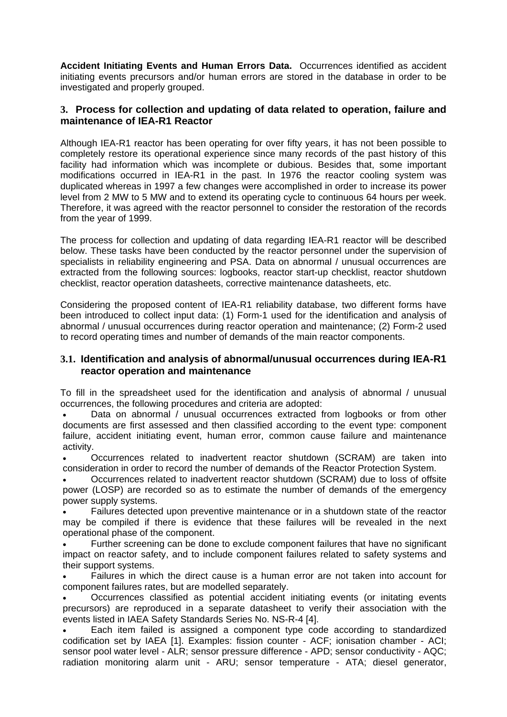**Accident Initiating Events and Human Errors Data.** Occurrences identified as accident initiating events precursors and/or human errors are stored in the database in order to be investigated and properly grouped.

#### **3. Process for collection and updating of data related to operation, failure and maintenance of IEA-R1 Reactor**

Although IEA-R1 reactor has been operating for over fifty years, it has not been possible to completely restore its operational experience since many records of the past history of this facility had information which was incomplete or dubious. Besides that, some important modifications occurred in IEA-R1 in the past. In 1976 the reactor cooling system was duplicated whereas in 1997 a few changes were accomplished in order to increase its power level from 2 MW to 5 MW and to extend its operating cycle to continuous 64 hours per week. Therefore, it was agreed with the reactor personnel to consider the restoration of the records from the year of 1999.

The process for collection and updating of data regarding IEA-R1 reactor will be described below. These tasks have been conducted by the reactor personnel under the supervision of specialists in reliability engineering and PSA. Data on abnormal / unusual occurrences are extracted from the following sources: logbooks, reactor start-up checklist, reactor shutdown checklist, reactor operation datasheets, corrective maintenance datasheets, etc.

Considering the proposed content of IEA-R1 reliability database, two different forms have been introduced to collect input data: (1) Form-1 used for the identification and analysis of abnormal / unusual occurrences during reactor operation and maintenance; (2) Form-2 used to record operating times and number of demands of the main reactor components.

#### **3.1. Identification and analysis of abnormal/unusual occurrences during IEA-R1 reactor operation and maintenance**

To fill in the spreadsheet used for the identification and analysis of abnormal / unusual occurrences, the following procedures and criteria are adopted:

Data on abnormal / unusual occurrences extracted from logbooks or from other documents are first assessed and then classified according to the event type: component failure, accident initiating event, human error, common cause failure and maintenance activity.

• Occurrences related to inadvertent reactor shutdown (SCRAM) are taken into consideration in order to record the number of demands of the Reactor Protection System.

• Occurrences related to inadvertent reactor shutdown (SCRAM) due to loss of offsite power (LOSP) are recorded so as to estimate the number of demands of the emergency power supply systems.

• Failures detected upon preventive maintenance or in a shutdown state of the reactor may be compiled if there is evidence that these failures will be revealed in the next operational phase of the component.

• Further screening can be done to exclude component failures that have no significant impact on reactor safety, and to include component failures related to safety systems and their support systems.

• Failures in which the direct cause is a human error are not taken into account for component failures rates, but are modelled separately.

• Occurrences classified as potential accident initiating events (or initating events precursors) are reproduced in a separate datasheet to verify their association with the events listed in IAEA Safety Standards Series No. NS-R-4 [4].

• Each item failed is assigned a component type code according to standardized codification set by IAEA [1]. Examples: fission counter - ACF; ionisation chamber - ACI; sensor pool water level - ALR; sensor pressure difference - APD; sensor conductivity - AQC; radiation monitoring alarm unit - ARU; sensor temperature - ATA; diesel generator,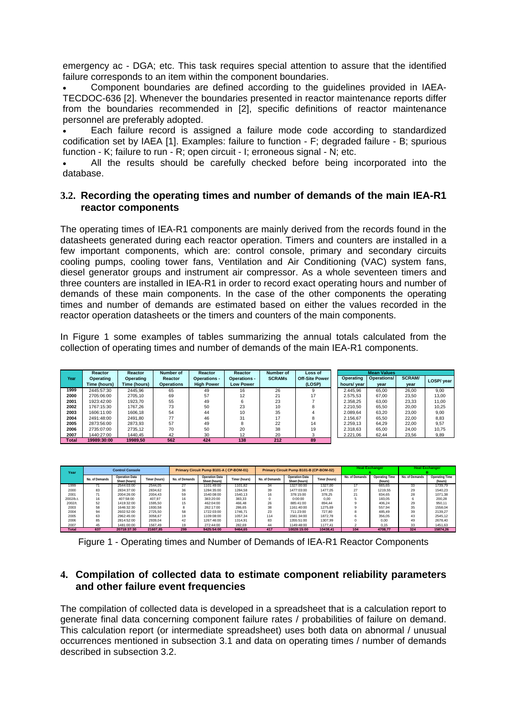emergency ac - DGA; etc. This task requires special attention to assure that the identified failure corresponds to an item within the component boundaries.

• Component boundaries are defined according to the guidelines provided in IAEA-TECDOC-636 [2]. Whenever the boundaries presented in reactor maintenance reports differ from the boundaries recommended in [2], specific definitions of reactor maintenance personnel are preferably adopted.

• Each failure record is assigned a failure mode code according to standardized codification set by IAEA [1]. Examples: failure to function - F; degraded failure - B; spurious function - K; failure to run - R; open circuit - I; erroneous signal - N; etc.

All the results should be carefully checked before being incorporated into the database.

#### **3.2. Recording the operating times and number of demands of the main IEA-R1 reactor components**

The operating times of IEA-R1 components are mainly derived from the records found in the datasheets generated during each reactor operation. Timers and counters are installed in a few important components, which are: control console, primary and secondary circuits cooling pumps, cooling tower fans, Ventilation and Air Conditioning (VAC) system fans, diesel generator groups and instrument air compressor. As a whole seventeen timers and three counters are installed in IEA-R1 in order to record exact operating hours and number of demands of these main components. In the case of the other components the operating times and number of demands are estimated based on either the values recorded in the reactor operation datasheets or the timers and counters of the main components.

In Figure 1 some examples of tables summarizing the annual totals calculated from the collection of operating times and number of demands of the main IEA-R1 components.

|       | Reactor          | Reactor      | Number of         | Reactor           | Reactor          | Number of     | Loss of               |            | <b>Mean Values</b> |               |            |
|-------|------------------|--------------|-------------------|-------------------|------------------|---------------|-----------------------|------------|--------------------|---------------|------------|
| Year  | <b>Operating</b> | Operating    | Reactor           | Operations -      | Operations -     | <b>SCRAMS</b> | <b>Off-Site Power</b> | Operating  | Operations/        | <b>SCRAM/</b> | LOSP/ year |
|       | Time (hours)     | Time (hours) | <b>Operations</b> | <b>High Power</b> | <b>Low Power</b> |               | (LOSP)                | hours/vear | year               | year          |            |
| 1999  | 2445:57:30       | 2445.96      | 65                | 49                | 16               | 26            | 9                     | 2.445.96   | 65.00              | 26.00         | 9,00       |
| 2000  | 2705:06:00       | 2705.10      | 69                | 57                | 12               | 21            | 17                    | 2.575.53   | 67.00              | 23.50         | 13,00      |
| 2001  | 1923:42:00       | 1923.70      | 55                | 49                | 6                | 23            |                       | 2.358.25   | 63.00              | 23.33         | 11,00      |
| 2002  | 1767:15:30       | 1767.26      | 73                | 50                | 23               | 10            | ŏ                     | 2.210.50   | 65.50              | 20.00         | 10,25      |
| 2003  | 1606:11:00       | 1606.18      | 54                | 44                | 10               | 35            |                       | 2.089.64   | 63.20              | 23.00         | 9,00       |
| 2004  | 2491:48:00       | 2491.80      | 77                | 46                | 31               |               |                       | 2.156.67   | 65.50              | 22.00         | 8,83       |
| 2005  | 2873:56:00       | 2873.93      | 57                | 49                | 8                | 22            | 14                    | 2.259.13   | 64.29              | 22.00         | 9.57       |
| 2006  | 2735:07:00       | 2735.12      | 70                | 50                | 20               | 38            | 19                    | 2.318.63   | 65.00              | 24.00         | 10.75      |
| 2007  | 1440:27:00       | 1440.45      | 42                | 30                | 12               | 20            |                       | 2.221,06   | 62,44              | 23,56         | 9,89       |
| Total | 19989:30:00      | 19989.50     | 562               | 424               | 138              | 212           | 89                    |            |                    |               |            |

| Year         | <b>Control Console</b> |                                        |               | Primary Circuit Pump B101-A (CP-BOM-01) |                                        |               | Primary Circuit Pump B101-B (CP-BOM-02) |                                        |               | <b>Heat Exchanger</b> |                           | <b>Heat Exchanger</b> |                           |
|--------------|------------------------|----------------------------------------|---------------|-----------------------------------------|----------------------------------------|---------------|-----------------------------------------|----------------------------------------|---------------|-----------------------|---------------------------|-----------------------|---------------------------|
|              | No. of Demands         | <b>Operation Data</b><br>Sheet (hours) | Timer (hours) | No. of Demands                          | <b>Operation Data</b><br>Sheet (hours) | Timer (hours) | No. of Demands                          | <b>Operation Data</b><br>Sheet (hours) | Timer (hours) | No. of Demands        | Operating Time<br>(hours) | No. of Demands        | Operating Time<br>(hours) |
| 1999         |                        | 2544:03:00                             | 2544.05       | 27                                      | 1101:49:00                             | 1101.82       | 34                                      | 1327:00:00                             | 1327.00       |                       | 665.65                    | 33                    | 1739.79                   |
| 2000         | 83                     | 2834:37:00                             | 2834.62       | 36                                      | 1284:35:00                             | 1284.58       | 39                                      | 1477:03:00                             | 1477.05       |                       | 1219.55                   | 29                    | 1540.23                   |
| 2001         |                        | 2004:26:00                             | 2004.43       | 59                                      | 1540:08:00                             | 1540.13       | 16                                      | 378:15:00                              | 378.25        |                       | 834.65                    | 28                    | 1071.38                   |
| 2002/b.t.    | 16                     | 407:58:00                              | 407.97        | 16                                      | 383:20:00                              | 383.33        |                                         | 0:00:00                                | 0.00          |                       | 183.05                    |                       | 200.28                    |
| 2002/t.      | 52                     | 1419:32:00                             | 1595.50       | 15                                      | 462:04:00                              | 466.48        | 26                                      | 885:41:00                              | 894.44        |                       | 406.24                    | 29                    | 950.11                    |
| 2003         | 58                     | 1646:32:30                             | 1930.58       |                                         | 282:17:00                              | 286.65        | 38                                      | 1161:40:00                             | 1275.69       |                       | 557.94                    | 35                    | 1558.04                   |
| 2004         | 94                     | 2602:52:00                             | 2725.50       | 58                                      | 1722:03:00                             | 1746.71       | 23                                      | 711:23:00                              | 727.80        |                       | 485.49                    | 39                    | 2139.27                   |
| 2005         | 63                     | 2962:45:00                             | 3058.67       | 19                                      | 1109:08:00                             | 1057.34       | 114                                     | 1581:34:00                             | 1872.78       |                       | 356.05                    | 43                    | 2545.12                   |
| 2006         | 85                     | 2814:52:00                             | 2939.04       | 42                                      | 1267:46:00                             | 1314.91       | 83                                      | 1355:51:00                             | 1307.99       |                       | 0.00                      | 49                    | 2678.40                   |
| 2007         | 45                     | 1481:00:00                             | 1567.49       | 19                                      | 272:44:00                              | 282.69        | 44                                      | 149:48:00                              | 1177.41       |                       | 0.15                      | 33                    | 1451.63                   |
| <b>Total</b> | 637                    | 20718:37:30                            | 21607.85      | 299                                     | 9425:54:00                             | 9464.65       | 417                                     | 10028:15:00                            | 10438.41      | 104                   | 4708.77                   | 324                   | 15874.26                  |

|  |  | Figure 1 - Operating times and Number of Demands of IEA-R1 Reactor Components |
|--|--|-------------------------------------------------------------------------------|
|  |  |                                                                               |

#### **4. Compilation of collected data to estimate component reliability parameters and other failure event frequencies**

The compilation of collected data is developed in a spreadsheet that is a calculation report to generate final data concerning component failure rates / probabilities of failure on demand. This calculation report (or intermediate spreadsheet) uses both data on abnormal / unusual occurrences mentioned in subsection 3.1 and data on operating times / number of demands described in subsection 3.2.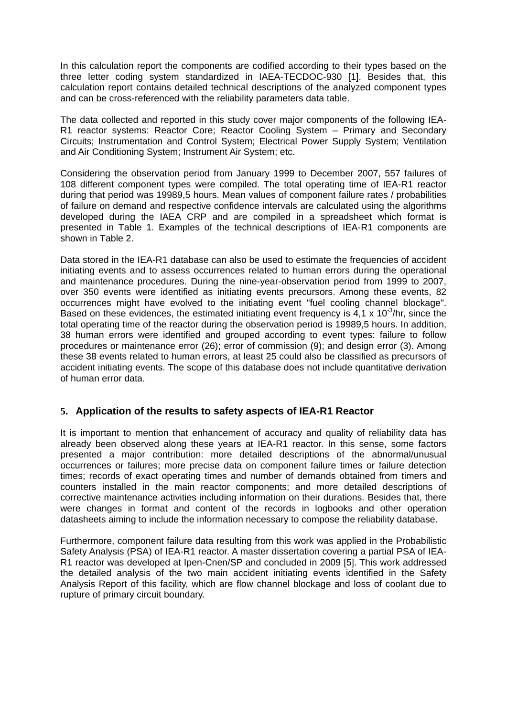In this calculation report the components are codified according to their types based on the three letter coding system standardized in IAEA-TECDOC-930 [1]. Besides that, this calculation report contains detailed technical descriptions of the analyzed component types and can be cross-referenced with the reliability parameters data table.

The data collected and reported in this study cover major components of the following IEA-R1 reactor systems: Reactor Core; Reactor Cooling System – Primary and Secondary Circuits; Instrumentation and Control System; Electrical Power Supply System; Ventilation and Air Conditioning System; Instrument Air System; etc.

Considering the observation period from January 1999 to December 2007, 557 failures of 108 different component types were compiled. The total operating time of IEA-R1 reactor during that period was 19989,5 hours. Mean values of component failure rates / probabilities of failure on demand and respective confidence intervals are calculated using the algorithms developed during the IAEA CRP and are compiled in a spreadsheet which format is presented in Table 1. Examples of the technical descriptions of IEA-R1 components are shown in Table 2.

Data stored in the IEA-R1 database can also be used to estimate the frequencies of accident initiating events and to assess occurrences related to human errors during the operational and maintenance procedures. During the nine-year-observation period from 1999 to 2007, over 350 events were identified as initiating events precursors. Among these events, 82 occurrences might have evolved to the initiating event "fuel cooling channel blockage". Based on these evidences, the estimated initiating event frequency is  $4.1 \times 10^{-3}$ /hr, since the total operating time of the reactor during the observation period is 19989,5 hours. In addition, 38 human errors were identified and grouped according to event types: failure to follow procedures or maintenance error (26); error of commission (9); and design error (3). Among these 38 events related to human errors, at least 25 could also be classified as precursors of accident initiating events. The scope of this database does not include quantitative derivation of human error data.

## **5. Application of the results to safety aspects of IEA-R1 Reactor**

It is important to mention that enhancement of accuracy and quality of reliability data has already been observed along these years at IEA-R1 reactor. In this sense, some factors presented a major contribution: more detailed descriptions of the abnormal/unusual occurrences or failures; more precise data on component failure times or failure detection times; records of exact operating times and number of demands obtained from timers and counters installed in the main reactor components; and more detailed descriptions of corrective maintenance activities including information on their durations. Besides that, there were changes in format and content of the records in logbooks and other operation datasheets aiming to include the information necessary to compose the reliability database.

Furthermore, component failure data resulting from this work was applied in the Probabilistic Safety Analysis (PSA) of IEA-R1 reactor. A master dissertation covering a partial PSA of IEA-R1 reactor was developed at Ipen-Cnen/SP and concluded in 2009 [5]. This work addressed the detailed analysis of the two main accident initiating events identified in the Safety Analysis Report of this facility, which are flow channel blockage and loss of coolant due to rupture of primary circuit boundary.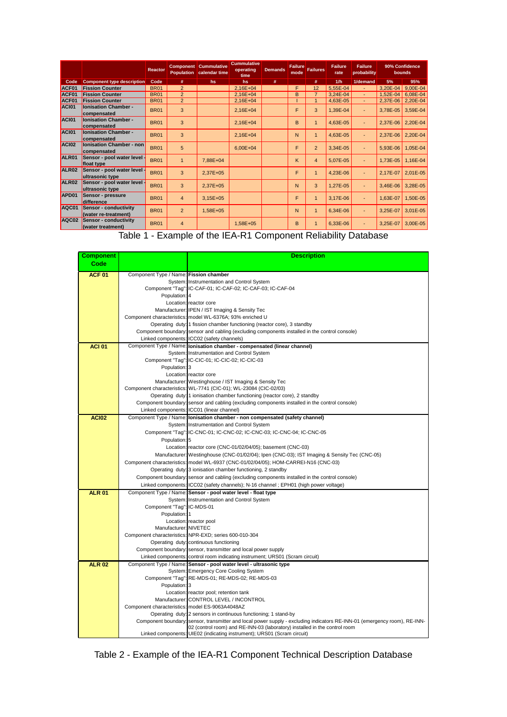|                   |                                                | <b>Reactor</b> | <b>Population</b> | <b>Component Cummulative</b><br>calendar time | <b>Cummulative</b><br>operating<br>time | <b>Demands</b> | Failure,<br>mode | <b>Failures</b> | <b>Failure</b><br>rate | <b>Failure</b><br>probability |          | 90% Confidence<br>bounds |
|-------------------|------------------------------------------------|----------------|-------------------|-----------------------------------------------|-----------------------------------------|----------------|------------------|-----------------|------------------------|-------------------------------|----------|--------------------------|
| Code              | <b>Component type description</b>              | Code           | #                 | hs                                            | hs                                      | #              |                  | #               | 1/h                    | 1/demand                      | 5%       | 95%                      |
| ACF <sub>01</sub> | <b>Fission Counter</b>                         | <b>BR01</b>    | $\overline{2}$    |                                               | $2.16E + 04$                            |                | F                | 12              | 5.55E-04               | ÷.                            | 3.20E-04 | 9,00E-04                 |
| ACF01             | <b>Fission Counter</b>                         | <b>BR01</b>    | $\overline{2}$    |                                               | $2.16E + 04$                            |                | B                | $\overline{7}$  | 3.24E-04               |                               | 1,52E-04 | 6.08E-04                 |
| ACF01             | <b>Fission Counter</b>                         | <b>BR01</b>    | $\overline{2}$    |                                               | 2,16E+04                                |                |                  |                 | 4,63E-05               | $\sim$                        | 2,37E-06 | 2,20E-04                 |
| AC <sub>101</sub> | <b>Ionisation Chamber -</b><br>compensated     | <b>BR01</b>    | 3                 |                                               | 2,16E+04                                |                | F                | 3               | 1,39E-04               |                               | 3,78E-05 | 3,59E-04                 |
| AC <sub>101</sub> | <b>Ionisation Chamber -</b><br>compensated     | <b>BR01</b>    | 3                 |                                               | 2,16E+04                                |                | B                | $\mathbf{1}$    | 4,63E-05               |                               | 2,37E-06 | 2,20E-04                 |
| ACI01             | Ionisation Chamber -<br>compensated            | <b>BR01</b>    | 3                 |                                               | $2.16E + 04$                            |                | N                | $\mathbf{1}$    | 4.63E-05               |                               | 2.37E-06 | 2.20E-04                 |
| ACI <sub>02</sub> | <b>Ionisation Chamber - non</b><br>compensated | <b>BR01</b>    | 5                 |                                               | 6,00E+04                                |                | F                | $\overline{2}$  | 3,34E-05               |                               | 5,93E-06 | 1,05E-04                 |
| ALR01             | Sensor - pool water level<br>float type        | <b>BR01</b>    | $\overline{1}$    | 7,88E+04                                      |                                         |                | K                | $\overline{4}$  | 5,07E-05               |                               | 1,73E-05 | 1,16E-04                 |
| ALR02             | Sensor - pool water level -<br>ultrasonic type | <b>BR01</b>    | 3                 | 2,37E+05                                      |                                         |                | F                | $\mathbf{1}$    | 4,23E-06               |                               | 2,17E-07 | 2,01E-05                 |
| ALR02             | Sensor - pool water level<br>ultrasonic type   | <b>BR01</b>    | 3                 | 2,37E+05                                      |                                         |                | N                | 3               | 1.27E-05               |                               | 3.46E-06 | 3.28E-05                 |
| APD01             | Sensor - pressure<br>difference                | <b>BR01</b>    | $\overline{4}$    | $3,15E+05$                                    |                                         |                | F                | $\mathbf{1}$    | 3,17E-06               |                               | 1,63E-07 | 1,50E-05                 |
| AQC01             | Sensor - conductivity<br>(water re-treatment)  | <b>BR01</b>    | $\overline{2}$    | 1,58E+05                                      |                                         |                | N                | $\mathbf{1}$    | 6.34E-06               |                               | 3,25E-07 | 3,01E-05                 |
| AQC02             | Sensor - conductivity<br>(water treatment)     | <b>BR01</b>    | $\overline{4}$    |                                               | 1,58E+05                                |                | B                | $\mathbf{1}$    | 6,33E-06               |                               | 3.25E-07 | 3,00E-05                 |

Table 1 - Example of the IEA-R1 Component Reliability Database

| Component         |                                                 | <b>Description</b>                                                                                                        |
|-------------------|-------------------------------------------------|---------------------------------------------------------------------------------------------------------------------------|
| Code              |                                                 |                                                                                                                           |
| ACF <sub>01</sub> | Component Type / Name: Fission chamber          |                                                                                                                           |
|                   |                                                 | System: Instrumentation and Control System                                                                                |
|                   |                                                 | Component "Tag": IC-CAF-01; IC-CAF-02; IC-CAF-03; IC-CAF-04                                                               |
|                   | Population: 4                                   |                                                                                                                           |
|                   |                                                 | Location: reactor core                                                                                                    |
|                   |                                                 | Manufacturer: IPEN / IST Imaging & Sensity Tec                                                                            |
|                   |                                                 | Component characteristics: model WL-6376A; 93% enriched U                                                                 |
|                   |                                                 | Operating duty: 1 fission chamber functioning (reactor core), 3 standby                                                   |
|                   |                                                 | Component boundary: sensor and cabling (excluding components installed in the control console)                            |
|                   |                                                 | Linked components: ICC02 (safety channels)                                                                                |
| <b>ACI 01</b>     |                                                 | Component Type / Name: Ionisation chamber - compensated (linear channel)                                                  |
|                   |                                                 | System: Instrumentation and Control System<br>Component "Tag": IC-CIC-01; IC-CIC-02; IC-CIC-03                            |
|                   | Population: 3                                   |                                                                                                                           |
|                   |                                                 | Location: reactor core                                                                                                    |
|                   |                                                 | Manufacturer: Westinghouse / IST Imaging & Sensity Tec                                                                    |
|                   |                                                 | Component characteristics: WL-7741 (CIC-01); WL-23084 (CIC-02/03)                                                         |
|                   |                                                 | Operating duty: 1 ionisation chamber functioning (reactor core), 2 standby                                                |
|                   |                                                 | Component boundary: sensor and cabling (excluding components installed in the control console)                            |
|                   |                                                 | Linked components: ICC01 (linear channel)                                                                                 |
| <b>ACI02</b>      |                                                 | Component Type / Name: lonisation chamber - non compensated (safety channel)                                              |
|                   |                                                 | System: Instrumentation and Control System                                                                                |
|                   |                                                 | Component "Tag": IC-CNC-01; IC-CNC-02; IC-CNC-03; IC-CNC-04; IC-CNC-05                                                    |
|                   | Population: 5                                   |                                                                                                                           |
|                   |                                                 | Location: reactor core (CNC-01/02/04/05); basement (CNC-03)                                                               |
|                   |                                                 | Manufacturer: Westinghouse (CNC-01/02/04); Ipen (CNC-03); IST Imaging & Sensity Tec (CNC-05)                              |
|                   |                                                 | Component characteristics: model WL-6937 (CNC-01/02/04/05); HOM-CARREI-N16 (CNC-03)                                       |
|                   |                                                 | Operating duty: 3 ionisation chamber functioning, 2 standby                                                               |
|                   |                                                 | Component boundary: sensor and cabling (excluding components installed in the control console)                            |
|                   |                                                 | Linked components: ICC02 (safety channels); N-16 channel; EPH01 (high power voltage)                                      |
| <b>ALR 01</b>     |                                                 | Component Type / Name: Sensor - pool water level - float type<br>System: Instrumentation and Control System               |
|                   | Component "Tag": IC-MDS-01                      |                                                                                                                           |
|                   | Population: 1                                   |                                                                                                                           |
|                   |                                                 | Location: reactor pool                                                                                                    |
|                   | Manufacturer: NIVETEC                           |                                                                                                                           |
|                   |                                                 | Component characteristics: NPR-EXD; series 600-010-304                                                                    |
|                   |                                                 | Operating duty: continuous functioning                                                                                    |
|                   |                                                 | Component boundary: sensor, transmitter and local power supply                                                            |
|                   |                                                 | Linked components: control room indicating instrument; URS01 (Scram circuit)                                              |
| <b>ALR 02</b>     |                                                 | Component Type / Name: Sensor - pool water level - ultrasonic type                                                        |
|                   |                                                 | System: Emergency Core Cooling System                                                                                     |
|                   |                                                 | Component "Tag": RE-MDS-01; RE-MDS-02; RE-MDS-03                                                                          |
|                   | Population: 3                                   |                                                                                                                           |
|                   |                                                 | Location: reactor pool; retention tank<br>Manufacturer: CONTROL LEVEL / INCONTROL                                         |
|                   | Component characteristics: model ES-9063A4048AZ |                                                                                                                           |
|                   |                                                 | Operating duty: 2 sensors in continuous functioning; 1 stand-by                                                           |
|                   |                                                 | Component boundary: sensor, transmitter and local power supply - excluding indicators RE-INN-01 (emergency room), RE-INN- |
|                   |                                                 | 02 (control room) and RE-INN-03 (laboratory) installed in the control room                                                |
|                   |                                                 | Linked components: UIE02 (indicating instrument); URS01 (Scram circuit)                                                   |

Table 2 - Example of the IEA-R1 Component Technical Description Database